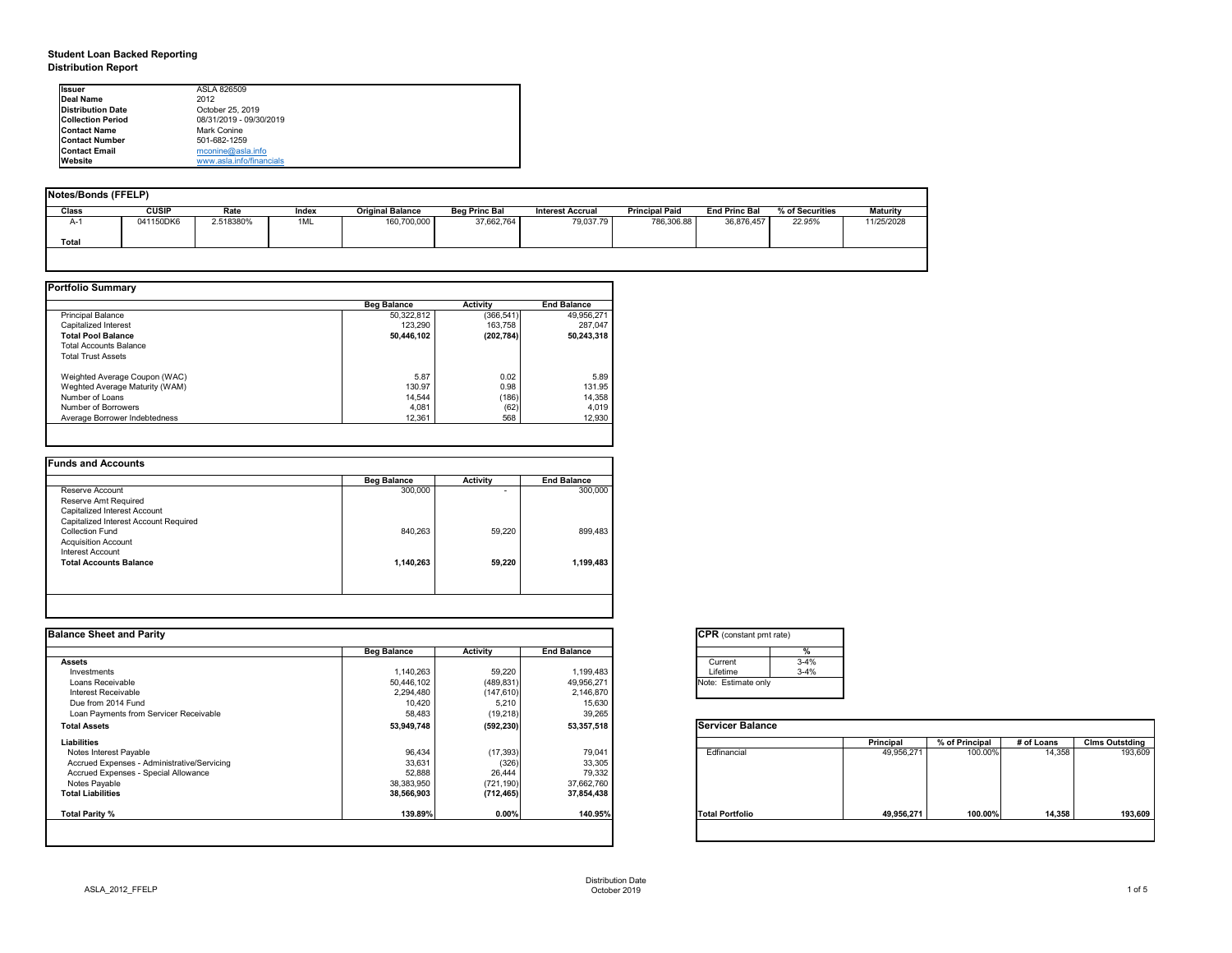## **Student Loan Backed Reporting Distribution Report**

| Notes/Bonds (FFELP) |              |           |       |                         |                      |                         |                       |                      |                 |                 |
|---------------------|--------------|-----------|-------|-------------------------|----------------------|-------------------------|-----------------------|----------------------|-----------------|-----------------|
| Class               | <b>CUSIP</b> | Rate      | Index | <b>Original Balance</b> | <b>Beg Princ Bal</b> | <b>Interest Accrual</b> | <b>Principal Paid</b> | <b>End Princ Bal</b> | % of Securities | <b>Maturity</b> |
| A-1                 | 041150DK6    | 2.518380% | 1ML   | 160,700,000             | 37,662,764           | 79,037.79               | 786,306.88            | 36,876,457           | 22.95%          | 11/25/2028      |
| <b>Total</b>        |              |           |       |                         |                      |                         |                       |                      |                 |                 |
|                     |              |           |       |                         |                      |                         |                       |                      |                 |                 |

|                                | <b>Beg Balance</b> | <b>Activity</b> | <b>End Balance</b> |
|--------------------------------|--------------------|-----------------|--------------------|
| <b>Principal Balance</b>       | 50,322,812         | (366, 541)      | 49,956,271         |
| Capitalized Interest           | 123,290            | 163,758         | 287,047            |
| <b>Total Pool Balance</b>      | 50,446,102         | (202, 784)      | 50,243,318         |
| <b>Total Accounts Balance</b>  |                    |                 |                    |
| <b>Total Trust Assets</b>      |                    |                 |                    |
| Weighted Average Coupon (WAC)  | 5.87               | 0.02            | 5.89               |
| Weghted Average Maturity (WAM) | 130.97             | 0.98            | 131.95             |
| Number of Loans                | 14,544             | (186)           | 14,358             |
| Number of Borrowers            | 4,081              | (62)            | 4,019              |
| Average Borrower Indebtedness  | 12,361             | 568             | 12,930             |

|                                       | <b>Beg Balance</b> | <b>Activity</b>          | <b>End Balance</b> |
|---------------------------------------|--------------------|--------------------------|--------------------|
| Reserve Account                       | 300,000            | $\overline{\phantom{0}}$ | 300,000            |
| <b>Reserve Amt Required</b>           |                    |                          |                    |
| <b>Capitalized Interest Account</b>   |                    |                          |                    |
| Capitalized Interest Account Required |                    |                          |                    |
| <b>Collection Fund</b>                | 840,263            | 59,220                   | 899,483            |
| <b>Acquisition Account</b>            |                    |                          |                    |
| Interest Account                      |                    |                          |                    |
| <b>Total Accounts Balance</b>         | 1,140,263          | 59,220                   | 1,199,483          |
|                                       |                    |                          |                    |

| tant pmt rate) |          |
|----------------|----------|
|                |          |
|                | $\%$     |
|                | $3 - 4%$ |
|                | $3 - 4%$ |
| ate only       |          |
|                |          |

|      | <b>Principal</b> | % of Principal | # of Loans | <b>Clms Outstding</b> |  |  |
|------|------------------|----------------|------------|-----------------------|--|--|
| al   | 49,956,271       | 100.00%        | 14,358     | 193,609               |  |  |
| oilc | 49,956,271       | 100.00%        | 14,358     | 193,609               |  |  |

| <b>Ilssuer</b>           | ASLA 826509              |
|--------------------------|--------------------------|
| Deal Name                | 2012                     |
| Distribution Date        | October 25, 2019         |
| <b>Collection Period</b> | 08/31/2019 - 09/30/2019  |
| <b>IContact Name</b>     | Mark Conine              |
| <b>Contact Number</b>    | 501-682-1259             |
| <b>IContact Email</b>    | mconine@asla.info        |
| <b>Website</b>           | www.asla.info/financials |

| <b>Balance Sheet and Parity</b>             |                    |                 |                    | <b>CPR</b> (constant pmt rate) |                  |                |            |                       |
|---------------------------------------------|--------------------|-----------------|--------------------|--------------------------------|------------------|----------------|------------|-----------------------|
|                                             | <b>Beg Balance</b> | <b>Activity</b> | <b>End Balance</b> |                                |                  |                |            |                       |
| <b>Assets</b>                               |                    |                 |                    | $3 - 4%$<br>Current            |                  |                |            |                       |
| Investments                                 | 1,140,263          | 59,220          | 1,199,483          | $3 - 4%$<br>Lifetime           |                  |                |            |                       |
| Loans Receivable                            | 50,446,102         | (489, 831)      | 49,956,271         | Note: Estimate only            |                  |                |            |                       |
| <b>Interest Receivable</b>                  | 2,294,480          | (147, 610)      | 2,146,870          |                                |                  |                |            |                       |
| Due from 2014 Fund                          | 10,420             | 5,210           | 15,630             |                                |                  |                |            |                       |
| Loan Payments from Servicer Receivable      | 58,483             | (19, 218)       | 39,265             |                                |                  |                |            |                       |
| <b>Total Assets</b>                         | 53,949,748         | (592, 230)      | 53,357,518         | <b>Servicer Balance</b>        |                  |                |            |                       |
| <b>Liabilities</b>                          |                    |                 |                    |                                | <b>Principal</b> | % of Principal | # of Loans | <b>Clms Outstding</b> |
| Notes Interest Payable                      | 96,434             | (17, 393)       | 79,041             | Edfinancial                    | 49,956,271       | 100.00%        | 14,358     | 193,609               |
| Accrued Expenses - Administrative/Servicing | 33,631             | (326)           | 33,305             |                                |                  |                |            |                       |
| Accrued Expenses - Special Allowance        | 52,888             | 26,444          | 79,332             |                                |                  |                |            |                       |
| Notes Payable                               | 38,383,950         | (721, 190)      | 37,662,760         |                                |                  |                |            |                       |
| <b>Total Liabilities</b>                    | 38,566,903         | (712, 465)      | 37,854,438         |                                |                  |                |            |                       |
| <b>Total Parity %</b>                       | 139.89%            | 0.00%           | 140.95%            | <b>Total Portfolio</b>         | 49,956,271       | 100.00%        | 14,358     | 193,609               |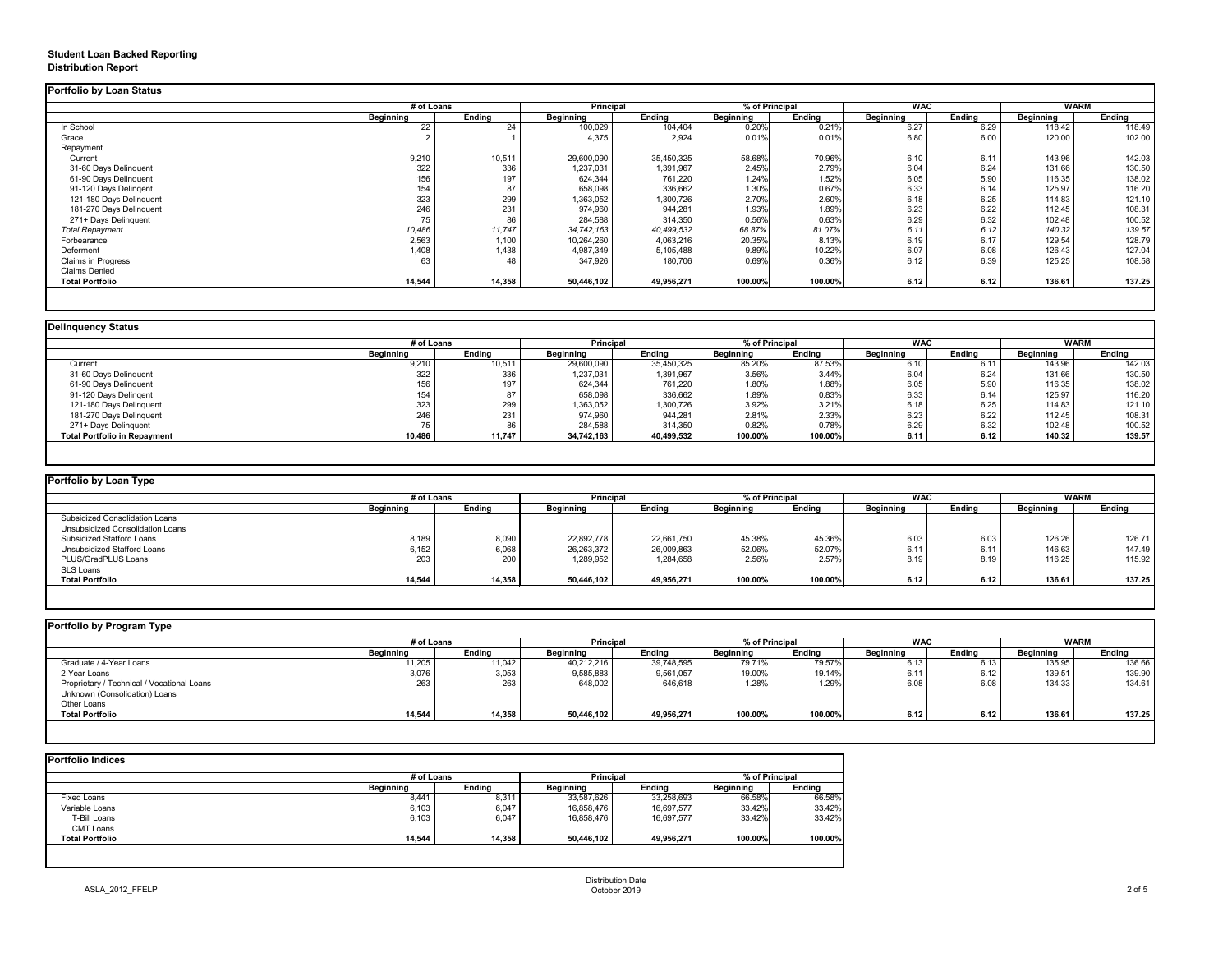### **Student Loan Backed Reporting Distribution Report**

### **Delinquency Status**

|                           | # of Loans       |               | Principal        |               | % of Principal   |               | <b>WAC</b>        |               | <b>WARM</b>      |               |
|---------------------------|------------------|---------------|------------------|---------------|------------------|---------------|-------------------|---------------|------------------|---------------|
|                           | <b>Beginning</b> | <b>Ending</b> | <b>Beginning</b> | <b>Ending</b> | <b>Beginning</b> | <b>Ending</b> | <b>Beginning</b>  | <b>Ending</b> | <b>Beginning</b> | <b>Ending</b> |
| In School                 | 22               | 24            | 100,029          | 104,404       | 0.20%            | 0.21%         | $6.\overline{27}$ | 6.29          | 118.42           | 118.49        |
| Grace                     |                  |               | 4,375            | 2,924         | 0.01%            | 0.01%         | 6.80              | 6.00          | 120.00           | 102.00        |
| Repayment                 |                  |               |                  |               |                  |               |                   |               |                  |               |
| Current                   | 9,210            | 10,511        | 29,600,090       | 35,450,325    | 58.68%           | 70.96%        | 6.10              | 6.11          | 143.96           | 142.03        |
| 31-60 Days Delinquent     | 322              | 336           | 1,237,031        | 1,391,967     | 2.45%            | 2.79%         | 6.04              | 6.24          | 131.66           | 130.50        |
| 61-90 Days Delinquent     | 156              | 197           | 624,344          | 761,220       | 1.24%            | 1.52%         | 6.05              | 5.90          | 116.35           | 138.02        |
| 91-120 Days Delingent     | 154              | 87            | 658,098          | 336,662       | 1.30%            | 0.67%         | 6.33              | 6.14          | 125.97           | 116.20        |
| 121-180 Days Delinquent   | 323              | 299           | 1,363,052        | 1,300,726     | 2.70%            | 2.60%         | 6.18              | 6.25          | 114.83           | 121.10        |
| 181-270 Days Delinquent   | 246              | 231           | 974,960          | 944,281       | 1.93%            | 1.89%         | 6.23              | 6.22          | 112.45           | 108.31        |
| 271+ Days Delinquent      | 75               | 86            | 284,588          | 314,350       | 0.56%            | 0.63%         | 6.29              | 6.32          | 102.48           | 100.52        |
| <b>Total Repayment</b>    | 10,486           | 11,747        | 34,742,163       | 40,499,532    | 68.87%           | 81.07%        | 6.11              | 6.12          | 140.32           | 139.57        |
| Forbearance               | 2,563            | 1,100         | 10,264,260       | 4,063,216     | 20.35%           | 8.13%         | 6.19              | 6.17          | 129.54           | 128.79        |
| Deferment                 | 1,408            | 1,438         | 4,987,349        | 5,105,488     | 9.89%            | 10.22%        | 6.07              | 6.08          | 126.43           | 127.04        |
| <b>Claims in Progress</b> | 63               | 48            | 347,926          | 180,706       | 0.69%            | 0.36%         | 6.12              | 6.39          | 125.25           | 108.58        |
| <b>Claims Denied</b>      |                  |               |                  |               |                  |               |                   |               |                  |               |
| <b>Total Portfolio</b>    | 14,544           | 14,358        | 50,446,102       | 49,956,271    | 100.00%          | 100.00%       | 6.12              | 6.12          | 136.61           | 137.25        |

|                                     | # of Loans       |               |                  | <b>Principal</b> |                  | % of Principal |                  | <b>WAC</b>    |                  | <b>WARM</b>   |  |
|-------------------------------------|------------------|---------------|------------------|------------------|------------------|----------------|------------------|---------------|------------------|---------------|--|
|                                     | <b>Beginning</b> | <b>Ending</b> | <b>Beginning</b> | Ending           | <b>Beginning</b> | <b>Ending</b>  | <b>Beginning</b> | <b>Ending</b> | <b>Beginning</b> | <b>Ending</b> |  |
| Current                             | 9,210            | 10,511        | 29,600,090       | 35,450,325       | 85.20%           | 87.53%         | 6.10             | 6.11          | 143.96           | 142.03        |  |
| 31-60 Days Delinquent               | 322              | 336           | 1,237,031        | 1,391,967        | 3.56%            | 3.44%          | 6.04             | 6.24          | 131.66           | 130.50        |  |
| 61-90 Days Delinquent               | 156              | 197           | 624,344          | 761,220          | 1.80%            | 1.88%          | 6.05             | 5.90          | 116.35           | 138.02        |  |
| 91-120 Days Delingent               | 154              | 87            | 658,098          | 336,662          | 1.89%            | 0.83%          | 6.33             | 6.14          | 125.97           | 116.20        |  |
| 121-180 Days Delinquent             | 323              | 299           | 1,363,052        | 1,300,726        | 3.92%            | 3.21%          | 6.18             | 6.25          | 114.83           | 121.10        |  |
| 181-270 Days Delinquent             | 246              | 231           | 974,960          | 944,281          | 2.81%            | 2.33%          | 6.23             | 6.22          | 112.45           | 108.31        |  |
| 271+ Days Delinquent                | 75               | 86            | 284,588          | 314,350          | 0.82%            | 0.78%          | 6.29             | 6.32          | 102.48           | 100.52        |  |
| <b>Total Portfolio in Repayment</b> | 10,486           | 11,747        | 34,742,163       | 40,499,532       | 100.00%          | 100.00%        | 6.11             | 6.12          | 140.32           | 139.57        |  |

| Portfolio by Loan Type                |                  |               |                  |               |                  |               |                  |        |                  |               |
|---------------------------------------|------------------|---------------|------------------|---------------|------------------|---------------|------------------|--------|------------------|---------------|
|                                       | # of Loans       |               | <b>Principal</b> |               | % of Principal   |               | <b>WAC</b>       |        | <b>WARM</b>      |               |
|                                       | <b>Beginning</b> | <b>Ending</b> | <b>Beginning</b> | <b>Ending</b> | <b>Beginning</b> | <b>Ending</b> | <b>Beginning</b> | Ending | <b>Beginning</b> | <b>Ending</b> |
| <b>Subsidized Consolidation Loans</b> |                  |               |                  |               |                  |               |                  |        |                  |               |
| Unsubsidized Consolidation Loans      |                  |               |                  |               |                  |               |                  |        |                  |               |
| <b>Subsidized Stafford Loans</b>      | 8,189            | 8,090         | 22,892,778       | 22,661,750    | 45.38%           | 45.36%        | 6.03             | 6.03   | 126.26           | 126.71        |
| Unsubsidized Stafford Loans           | 6,152            | 6,068         | 26,263,372       | 26,009,863    | 52.06%           | 52.07%        | 6.11             | 6.11   | 146.63           | 147.49        |
| PLUS/GradPLUS Loans                   | 203              | 200           | 1,289,952        | 1,284,658     | 2.56%            | 2.57%         | 8.19             | 8.19   | 116.25           | 115.92        |
| SLS Loans                             |                  |               |                  |               |                  |               |                  |        |                  |               |
| <b>Total Portfolio</b>                | 14,544           | 14,358        | 50,446,102       | 49,956,271    | 100.00%          | 100.00%       | 6.12             | 6.12   | 136.61           | 137.25        |

|                                            | # of Loans       |               |                  | <b>Principal</b> |                  | % of Principal |                  | <b>WAC</b>    |                  | <b>WARM</b>   |  |
|--------------------------------------------|------------------|---------------|------------------|------------------|------------------|----------------|------------------|---------------|------------------|---------------|--|
|                                            | <b>Beginning</b> | <b>Ending</b> | <b>Beginning</b> | <b>Ending</b>    | <b>Beginning</b> | <b>Ending</b>  | <b>Beginning</b> | <b>Ending</b> | <b>Beginning</b> | <b>Ending</b> |  |
| Graduate / 4-Year Loans                    | 11,205           | 11,042        | 40,212,216       | 39,748,595       | 79.71%           | 79.57%         | 6.13             | 6.13          | 135.95           | 136.66        |  |
| 2-Year Loans                               | 3,076            | 3,053         | 9,585,883        | 9,561,057        | 19.00%           | 19.14%         | 6.11             | 6.12          | 139.51           | 139.90        |  |
| Proprietary / Technical / Vocational Loans | 263              | 263           | 648,002          | 646,618          | 1.28%            | 1.29%          | 6.08             | 6.08          | 134.33           | 134.61        |  |
| Unknown (Consolidation) Loans              |                  |               |                  |                  |                  |                |                  |               |                  |               |  |
| Other Loans                                |                  |               |                  |                  |                  |                |                  |               |                  |               |  |
| <b>Total Portfolio</b>                     | 14,544           | 14,358        | 50,446,102       | 49,956,271       | 100.00%          | 100.00%        | 6.12             | 6.12          | 136.61           | 137.25        |  |

|                        | # of Loans       | <b>Principal</b> |                  | % of Principal |                  |               |
|------------------------|------------------|------------------|------------------|----------------|------------------|---------------|
|                        | <b>Beginning</b> | <b>Ending</b>    | <b>Beginning</b> | <b>Ending</b>  | <b>Beginning</b> | <b>Ending</b> |
| Fixed Loans            | 8,441            | 8,311            | 33,587,626       | 33,258,693     | 66.58%           | 66.58%        |
| Variable Loans         | 6,103            | 6,047            | 16,858,476       | 16,697,577     | 33.42%           | 33.42%        |
| T-Bill Loans           | 6,103            | 6,047            | 16,858,476       | 16,697,577     | 33.42%           | 33.42%        |
| <b>CMT Loans</b>       |                  |                  |                  |                |                  |               |
| <b>Total Portfolio</b> | 14,544           | 14,358           | 50,446,102       | 49,956,271     | 100.00%          | 100.00%       |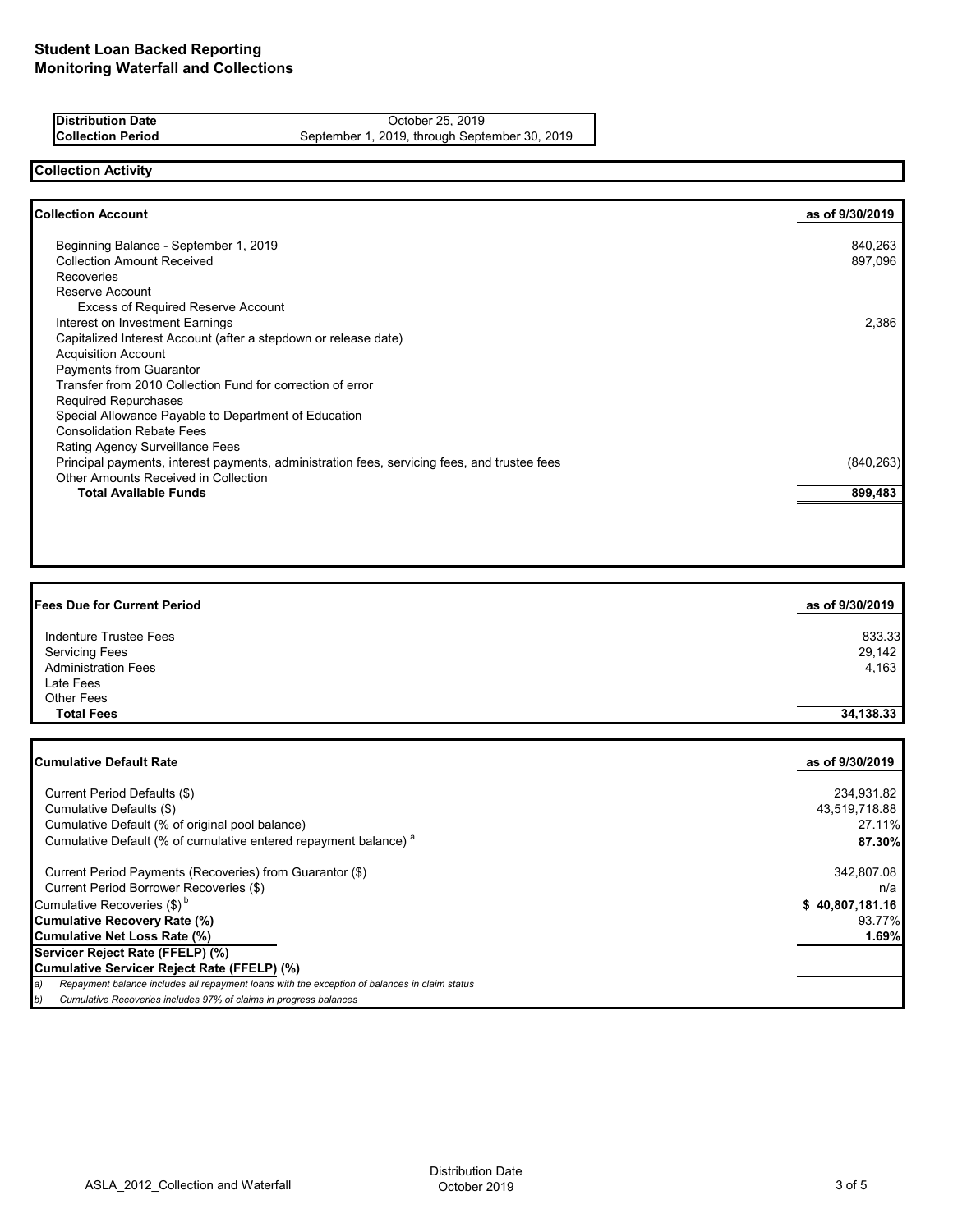**Distribution Date** October 25, 2019<br>**Collection Period** September 1, 2019, through Septe September 1, 2019, through September 30, 2019

# **Collection Activity**

| <b>Collection Account</b>                                                                    | as of 9/30/2019 |
|----------------------------------------------------------------------------------------------|-----------------|
| Beginning Balance - September 1, 2019                                                        | 840,263         |
| <b>Collection Amount Received</b>                                                            | 897,096         |
| <b>Recoveries</b>                                                                            |                 |
| Reserve Account                                                                              |                 |
| <b>Excess of Required Reserve Account</b>                                                    |                 |
| Interest on Investment Earnings                                                              | 2,386           |
| Capitalized Interest Account (after a stepdown or release date)                              |                 |
| <b>Acquisition Account</b>                                                                   |                 |
| Payments from Guarantor                                                                      |                 |
| Transfer from 2010 Collection Fund for correction of error                                   |                 |
| <b>Required Repurchases</b>                                                                  |                 |
| Special Allowance Payable to Department of Education                                         |                 |
| <b>Consolidation Rebate Fees</b>                                                             |                 |
| Rating Agency Surveillance Fees                                                              |                 |
| Principal payments, interest payments, administration fees, servicing fees, and trustee fees | (840, 263)      |
| <b>Other Amounts Received in Collection</b>                                                  |                 |
| <b>Total Available Funds</b>                                                                 | 899,483         |
|                                                                                              |                 |

| <b>Fees Due for Current Period</b> | as of 9/30/2019 |
|------------------------------------|-----------------|
| Indenture Trustee Fees             | 833.33          |
| <b>Servicing Fees</b>              | 29,142          |
| <b>Administration Fees</b>         | 4,163           |
| Late Fees                          |                 |
| Other Fees                         |                 |
| <b>Total Fees</b>                  | 34,138.33       |

| <b>Cumulative Default Rate</b>                                                                      | as of 9/30/2019 |
|-----------------------------------------------------------------------------------------------------|-----------------|
|                                                                                                     |                 |
| Current Period Defaults (\$)                                                                        | 234,931.82      |
| Cumulative Defaults (\$)                                                                            | 43,519,718.88   |
| Cumulative Default (% of original pool balance)                                                     | 27.11%          |
| Cumulative Default (% of cumulative entered repayment balance) <sup>a</sup>                         | 87.30%          |
| Current Period Payments (Recoveries) from Guarantor (\$)                                            | 342,807.08      |
| Current Period Borrower Recoveries (\$)                                                             | n/a             |
| Cumulative Recoveries $(\$)^{b}$                                                                    | \$40,807,181.16 |
| Cumulative Recovery Rate (%)                                                                        | 93.77%          |
| Cumulative Net Loss Rate (%)                                                                        | 1.69%           |
| Servicer Reject Rate (FFELP) (%)                                                                    |                 |
| Cumulative Servicer Reject Rate (FFELP) (%)                                                         |                 |
| Repayment balance includes all repayment loans with the exception of balances in claim status<br>a) |                 |
| Cumulative Recoveries includes 97% of claims in progress balances<br>D)                             |                 |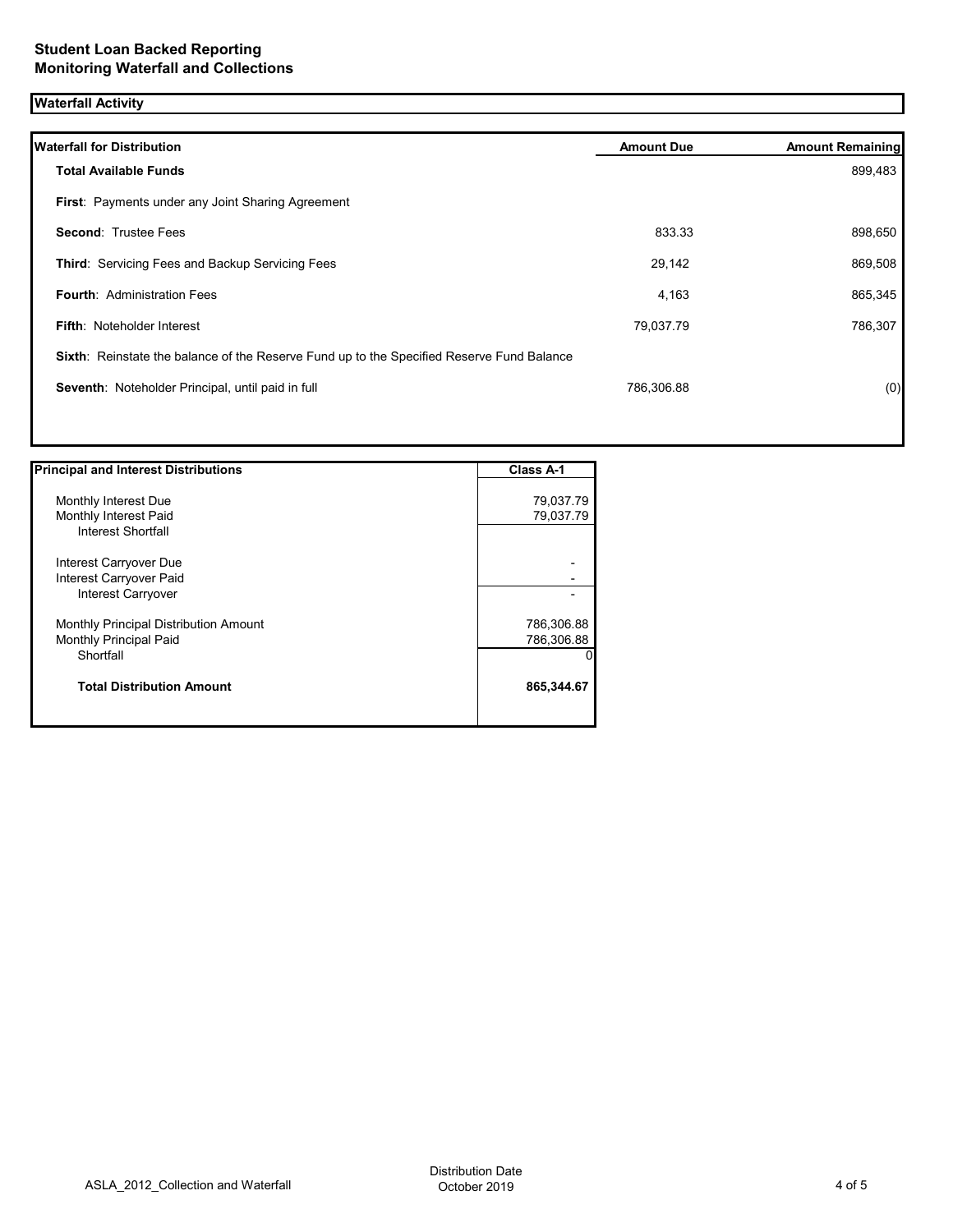# **Waterfall Activity**

| <b>Waterfall for Distribution</b>                                                         | <b>Amount Due</b> | <b>Amount Remaining</b> |
|-------------------------------------------------------------------------------------------|-------------------|-------------------------|
| <b>Total Available Funds</b>                                                              |                   | 899,483                 |
| <b>First: Payments under any Joint Sharing Agreement</b>                                  |                   |                         |
| <b>Second: Trustee Fees</b>                                                               | 833.33            | 898,650                 |
| Third: Servicing Fees and Backup Servicing Fees                                           | 29,142            | 869,508                 |
| <b>Fourth: Administration Fees</b>                                                        | 4,163             | 865,345                 |
| <b>Fifth: Noteholder Interest</b>                                                         | 79,037.79         | 786,307                 |
| Sixth: Reinstate the balance of the Reserve Fund up to the Specified Reserve Fund Balance |                   |                         |
| Seventh: Noteholder Principal, until paid in full                                         | 786,306.88        | (0)                     |
|                                                                                           |                   |                         |

| <b>Principal and Interest Distributions</b> | <b>Class A-1</b> |
|---------------------------------------------|------------------|
|                                             |                  |
| Monthly Interest Due                        | 79,037.79        |
| Monthly Interest Paid                       | 79,037.79        |
| Interest Shortfall                          |                  |
| Interest Carryover Due                      |                  |
| Interest Carryover Paid                     |                  |
| Interest Carryover                          |                  |
| Monthly Principal Distribution Amount       | 786,306.88       |
| <b>Monthly Principal Paid</b>               | 786,306.88       |
| Shortfall                                   | 0                |
| <b>Total Distribution Amount</b>            | 865,344.67       |
|                                             |                  |